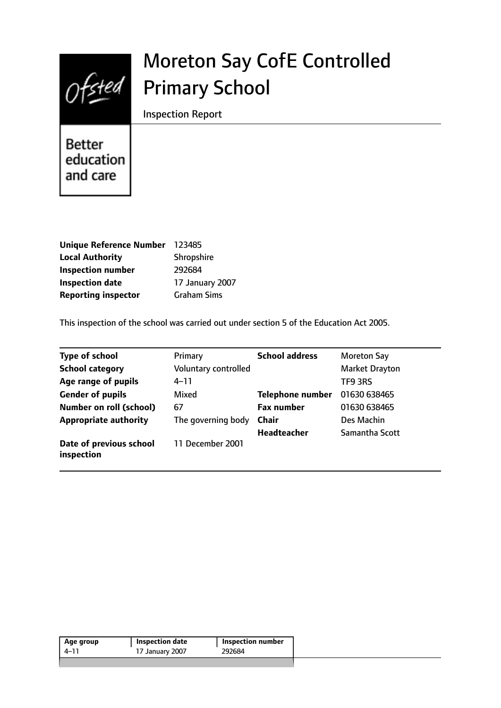

# Moreton Say CofE Controlled Primary School

Inspection Report

Better education and care

| <b>Unique Reference Number</b> | 123485             |
|--------------------------------|--------------------|
| <b>Local Authority</b>         | Shropshire         |
| <b>Inspection number</b>       | 292684             |
| <b>Inspection date</b>         | 17 January 2007    |
| <b>Reporting inspector</b>     | <b>Graham Sims</b> |

This inspection of the school was carried out under section 5 of the Education Act 2005.

| <b>Type of school</b>                 | Primary              | <b>School address</b>   | <b>Moreton Say</b>    |
|---------------------------------------|----------------------|-------------------------|-----------------------|
| <b>School category</b>                | Voluntary controlled |                         | <b>Market Drayton</b> |
| Age range of pupils                   | $4 - 11$             |                         | TF9 3RS               |
| <b>Gender of pupils</b>               | Mixed                | <b>Telephone number</b> | 01630 638465          |
| <b>Number on roll (school)</b>        | 67                   | <b>Fax number</b>       | 01630 638465          |
| <b>Appropriate authority</b>          | The governing body   | <b>Chair</b>            | Des Machin            |
|                                       |                      | <b>Headteacher</b>      | Samantha Scott        |
| Date of previous school<br>inspection | 11 December 2001     |                         |                       |

| 292684<br>$4 - 11$<br>17 January 2007 | Age group | <b>Inspection date</b> | <b>Inspection number</b> |
|---------------------------------------|-----------|------------------------|--------------------------|
|                                       |           |                        |                          |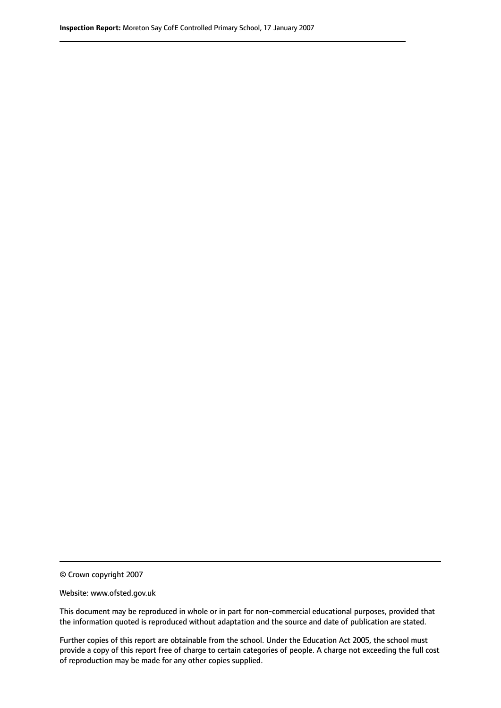© Crown copyright 2007

Website: www.ofsted.gov.uk

This document may be reproduced in whole or in part for non-commercial educational purposes, provided that the information quoted is reproduced without adaptation and the source and date of publication are stated.

Further copies of this report are obtainable from the school. Under the Education Act 2005, the school must provide a copy of this report free of charge to certain categories of people. A charge not exceeding the full cost of reproduction may be made for any other copies supplied.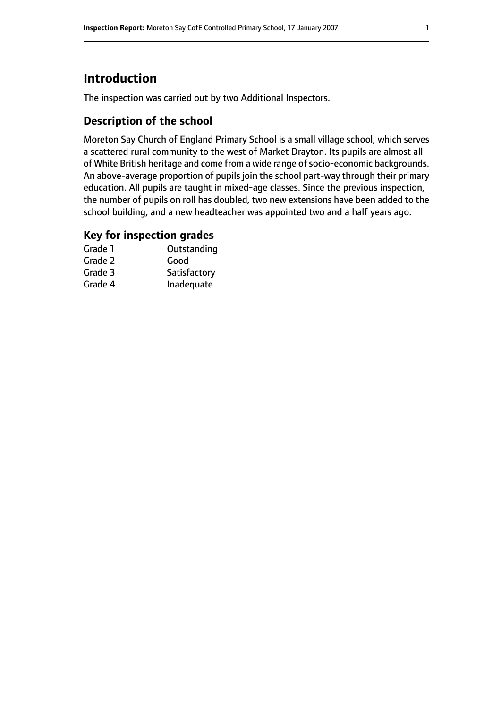# **Introduction**

The inspection was carried out by two Additional Inspectors.

# **Description of the school**

Moreton Say Church of England Primary School is a small village school, which serves a scattered rural community to the west of Market Drayton. Its pupils are almost all of White British heritage and come from a wide range of socio-economic backgrounds. An above-average proportion of pupils join the school part-way through their primary education. All pupils are taught in mixed-age classes. Since the previous inspection, the number of pupils on roll has doubled, two new extensions have been added to the school building, and a new headteacher was appointed two and a half years ago.

### **Key for inspection grades**

| Grade 1 | Outstanding  |
|---------|--------------|
| Grade 2 | Good         |
| Grade 3 | Satisfactory |
| Grade 4 | Inadequate   |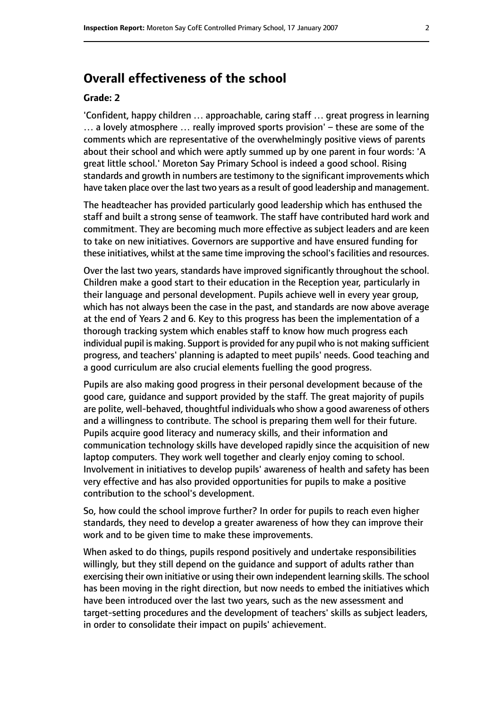## **Overall effectiveness of the school**

#### **Grade: 2**

'Confident, happy children … approachable, caring staff … great progress in learning  $\ldots$  a lovely atmosphere  $\ldots$  really improved sports provision'  $-$  these are some of the comments which are representative of the overwhelmingly positive views of parents about their school and which were aptly summed up by one parent in four words: 'A great little school.' Moreton Say Primary School is indeed a good school. Rising standards and growth in numbers are testimony to the significant improvements which have taken place over the last two years as a result of good leadership and management.

The headteacher has provided particularly good leadership which has enthused the staff and built a strong sense of teamwork. The staff have contributed hard work and commitment. They are becoming much more effective as subject leaders and are keen to take on new initiatives. Governors are supportive and have ensured funding for these initiatives, whilst at the same time improving the school's facilities and resources.

Over the last two years, standards have improved significantly throughout the school. Children make a good start to their education in the Reception year, particularly in their language and personal development. Pupils achieve well in every year group, which has not always been the case in the past, and standards are now above average at the end of Years 2 and 6. Key to this progress has been the implementation of a thorough tracking system which enables staff to know how much progress each individual pupil is making. Support is provided for any pupil who is not making sufficient progress, and teachers' planning is adapted to meet pupils' needs. Good teaching and a good curriculum are also crucial elements fuelling the good progress.

Pupils are also making good progress in their personal development because of the good care, guidance and support provided by the staff. The great majority of pupils are polite, well-behaved, thoughtful individuals who show a good awareness of others and a willingness to contribute. The school is preparing them well for their future. Pupils acquire good literacy and numeracy skills, and their information and communication technology skills have developed rapidly since the acquisition of new laptop computers. They work well together and clearly enjoy coming to school. Involvement in initiatives to develop pupils' awareness of health and safety has been very effective and has also provided opportunities for pupils to make a positive contribution to the school's development.

So, how could the school improve further? In order for pupils to reach even higher standards, they need to develop a greater awareness of how they can improve their work and to be given time to make these improvements.

When asked to do things, pupils respond positively and undertake responsibilities willingly, but they still depend on the guidance and support of adults rather than exercising their own initiative or using their own independent learning skills. The school has been moving in the right direction, but now needs to embed the initiatives which have been introduced over the last two years, such as the new assessment and target-setting procedures and the development of teachers' skills as subject leaders, in order to consolidate their impact on pupils' achievement.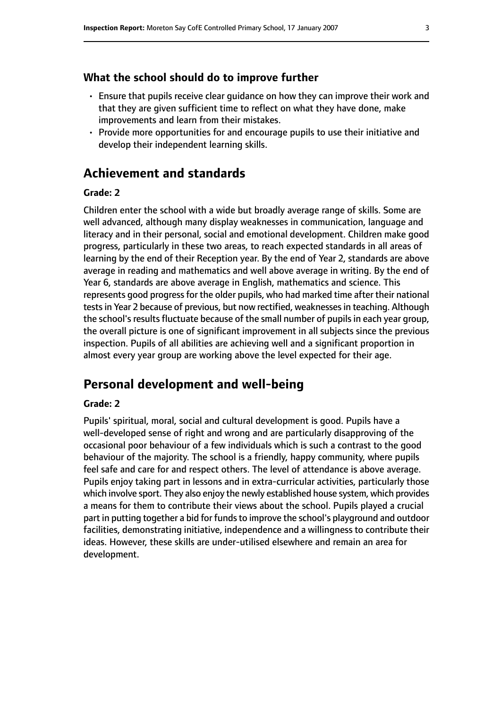#### **What the school should do to improve further**

- Ensure that pupils receive clear guidance on how they can improve their work and that they are given sufficient time to reflect on what they have done, make improvements and learn from their mistakes.
- Provide more opportunities for and encourage pupils to use their initiative and develop their independent learning skills.

## **Achievement and standards**

#### **Grade: 2**

Children enter the school with a wide but broadly average range of skills. Some are well advanced, although many display weaknesses in communication, language and literacy and in their personal, social and emotional development. Children make good progress, particularly in these two areas, to reach expected standards in all areas of learning by the end of their Reception year. By the end of Year 2, standards are above average in reading and mathematics and well above average in writing. By the end of Year 6, standards are above average in English, mathematics and science. This represents good progress for the older pupils, who had marked time after their national tests in Year 2 because of previous, but now rectified, weaknesses in teaching. Although the school's results fluctuate because of the small number of pupils in each year group, the overall picture is one of significant improvement in all subjects since the previous inspection. Pupils of all abilities are achieving well and a significant proportion in almost every year group are working above the level expected for their age.

# **Personal development and well-being**

#### **Grade: 2**

Pupils' spiritual, moral, social and cultural development is good. Pupils have a well-developed sense of right and wrong and are particularly disapproving of the occasional poor behaviour of a few individuals which is such a contrast to the good behaviour of the majority. The school is a friendly, happy community, where pupils feel safe and care for and respect others. The level of attendance is above average. Pupils enjoy taking part in lessons and in extra-curricular activities, particularly those which involve sport. They also enjoy the newly established house system, which provides a means for them to contribute their views about the school. Pupils played a crucial part in putting together a bid for funds to improve the school's playground and outdoor facilities, demonstrating initiative, independence and a willingness to contribute their ideas. However, these skills are under-utilised elsewhere and remain an area for development.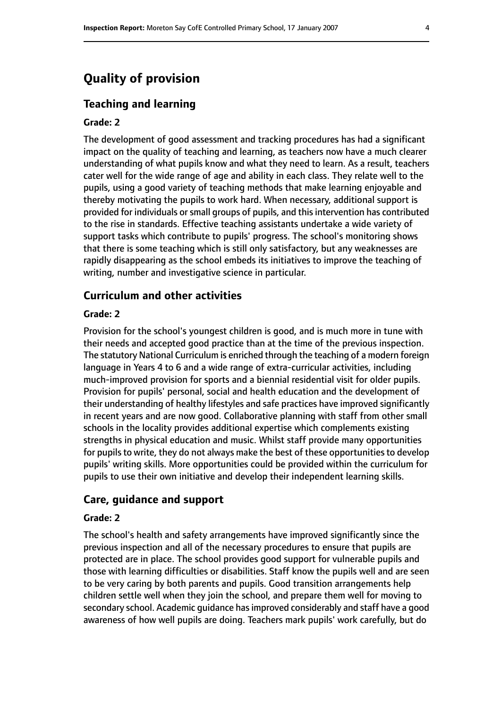# **Quality of provision**

#### **Teaching and learning**

#### **Grade: 2**

The development of good assessment and tracking procedures has had a significant impact on the quality of teaching and learning, as teachers now have a much clearer understanding of what pupils know and what they need to learn. As a result, teachers cater well for the wide range of age and ability in each class. They relate well to the pupils, using a good variety of teaching methods that make learning enjoyable and thereby motivating the pupils to work hard. When necessary, additional support is provided for individuals or small groups of pupils, and this intervention has contributed to the rise in standards. Effective teaching assistants undertake a wide variety of support tasks which contribute to pupils' progress. The school's monitoring shows that there is some teaching which is still only satisfactory, but any weaknesses are rapidly disappearing as the school embeds its initiatives to improve the teaching of writing, number and investigative science in particular.

#### **Curriculum and other activities**

#### **Grade: 2**

Provision for the school's youngest children is good, and is much more in tune with their needs and accepted good practice than at the time of the previous inspection. The statutory National Curriculum is enriched through the teaching of a modern foreign language in Years 4 to 6 and a wide range of extra-curricular activities, including much-improved provision for sports and a biennial residential visit for older pupils. Provision for pupils' personal, social and health education and the development of their understanding of healthy lifestyles and safe practices have improved significantly in recent years and are now good. Collaborative planning with staff from other small schools in the locality provides additional expertise which complements existing strengths in physical education and music. Whilst staff provide many opportunities for pupils to write, they do not always make the best of these opportunities to develop pupils' writing skills. More opportunities could be provided within the curriculum for pupils to use their own initiative and develop their independent learning skills.

#### **Care, guidance and support**

#### **Grade: 2**

The school's health and safety arrangements have improved significantly since the previous inspection and all of the necessary procedures to ensure that pupils are protected are in place. The school provides good support for vulnerable pupils and those with learning difficulties or disabilities. Staff know the pupils well and are seen to be very caring by both parents and pupils. Good transition arrangements help children settle well when they join the school, and prepare them well for moving to secondary school. Academic quidance has improved considerably and staff have a good awareness of how well pupils are doing. Teachers mark pupils' work carefully, but do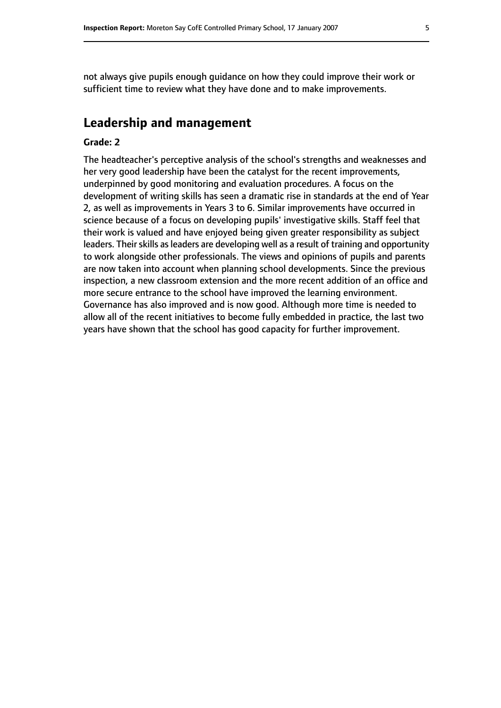not always give pupils enough guidance on how they could improve their work or sufficient time to review what they have done and to make improvements.

## **Leadership and management**

#### **Grade: 2**

The headteacher's perceptive analysis of the school's strengths and weaknesses and her very good leadership have been the catalyst for the recent improvements, underpinned by good monitoring and evaluation procedures. A focus on the development of writing skills has seen a dramatic rise in standards at the end of Year 2, as well as improvements in Years 3 to 6. Similar improvements have occurred in science because of a focus on developing pupils' investigative skills. Staff feel that their work is valued and have enjoyed being given greater responsibility as subject leaders. Their skills as leaders are developing well as a result of training and opportunity to work alongside other professionals. The views and opinions of pupils and parents are now taken into account when planning school developments. Since the previous inspection, a new classroom extension and the more recent addition of an office and more secure entrance to the school have improved the learning environment. Governance has also improved and is now good. Although more time is needed to allow all of the recent initiatives to become fully embedded in practice, the last two years have shown that the school has good capacity for further improvement.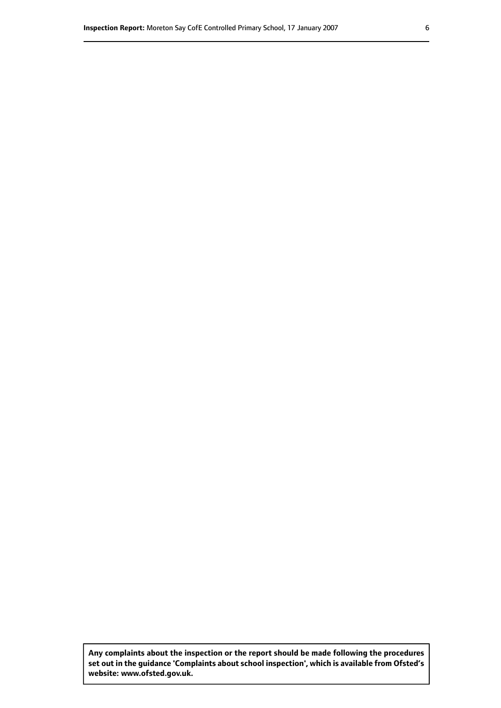**Any complaints about the inspection or the report should be made following the procedures set out inthe guidance 'Complaints about school inspection', whichis available from Ofsted's website: www.ofsted.gov.uk.**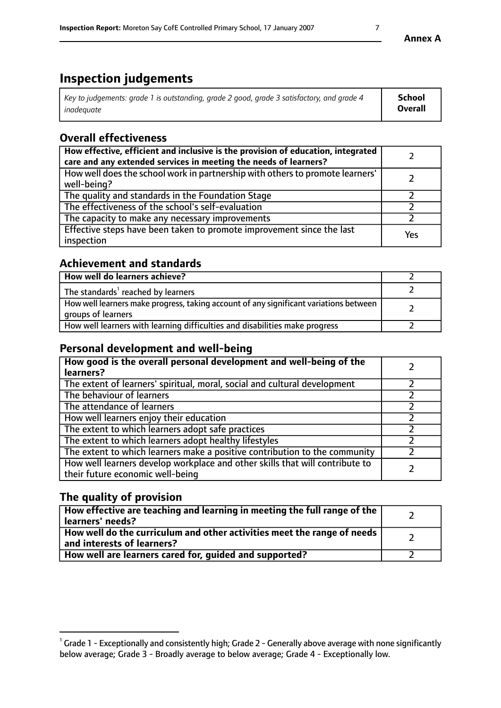# **Inspection judgements**

| Key to judgements: grade 1 is outstanding, grade 2 good, grade 3 satisfactory, and grade 4 | <b>School</b>  |
|--------------------------------------------------------------------------------------------|----------------|
| inadeauate                                                                                 | <b>Overall</b> |

# **Overall effectiveness**

| How effective, efficient and inclusive is the provision of education, integrated<br>care and any extended services in meeting the needs of learners? |     |
|------------------------------------------------------------------------------------------------------------------------------------------------------|-----|
| How well does the school work in partnership with others to promote learners'<br>well-being?                                                         |     |
| The quality and standards in the Foundation Stage                                                                                                    |     |
| The effectiveness of the school's self-evaluation                                                                                                    |     |
| The capacity to make any necessary improvements                                                                                                      |     |
| Effective steps have been taken to promote improvement since the last<br>inspection                                                                  | Yes |

# **Achievement and standards**

| How well do learners achieve?                                                                               |  |
|-------------------------------------------------------------------------------------------------------------|--|
| The standards <sup>1</sup> reached by learners                                                              |  |
| How well learners make progress, taking account of any significant variations between<br>groups of learners |  |
| How well learners with learning difficulties and disabilities make progress                                 |  |

# **Personal development and well-being**

| How good is the overall personal development and well-being of the<br>learners?                                  |  |
|------------------------------------------------------------------------------------------------------------------|--|
| The extent of learners' spiritual, moral, social and cultural development                                        |  |
| The behaviour of learners                                                                                        |  |
| The attendance of learners                                                                                       |  |
| How well learners enjoy their education                                                                          |  |
| The extent to which learners adopt safe practices                                                                |  |
| The extent to which learners adopt healthy lifestyles                                                            |  |
| The extent to which learners make a positive contribution to the community                                       |  |
| How well learners develop workplace and other skills that will contribute to<br>their future economic well-being |  |

# **The quality of provision**

| How effective are teaching and learning in meeting the full range of the<br>  learners' needs?                      |  |
|---------------------------------------------------------------------------------------------------------------------|--|
| $\mid$ How well do the curriculum and other activities meet the range of needs<br>$\mid$ and interests of learners? |  |
| How well are learners cared for, guided and supported?                                                              |  |

 $^1$  Grade 1 - Exceptionally and consistently high; Grade 2 - Generally above average with none significantly below average; Grade 3 - Broadly average to below average; Grade 4 - Exceptionally low.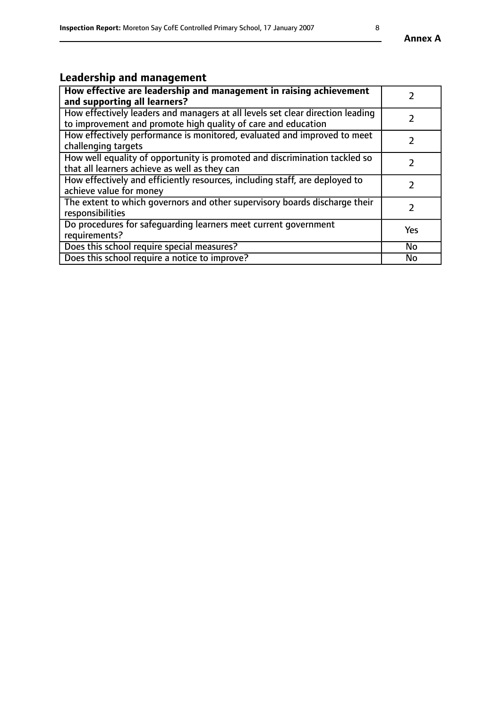# **Leadership and management**

| How effective are leadership and management in raising achievement<br>and supporting all learners?                                              |               |
|-------------------------------------------------------------------------------------------------------------------------------------------------|---------------|
| How effectively leaders and managers at all levels set clear direction leading<br>to improvement and promote high quality of care and education |               |
| How effectively performance is monitored, evaluated and improved to meet<br>challenging targets                                                 |               |
| How well equality of opportunity is promoted and discrimination tackled so<br>that all learners achieve as well as they can                     |               |
| How effectively and efficiently resources, including staff, are deployed to<br>achieve value for money                                          | $\mathcal{P}$ |
| The extent to which governors and other supervisory boards discharge their<br>responsibilities                                                  |               |
| Do procedures for safeguarding learners meet current government<br>requirements?                                                                | Yes           |
| Does this school require special measures?                                                                                                      | <b>No</b>     |
| Does this school require a notice to improve?                                                                                                   | <b>No</b>     |